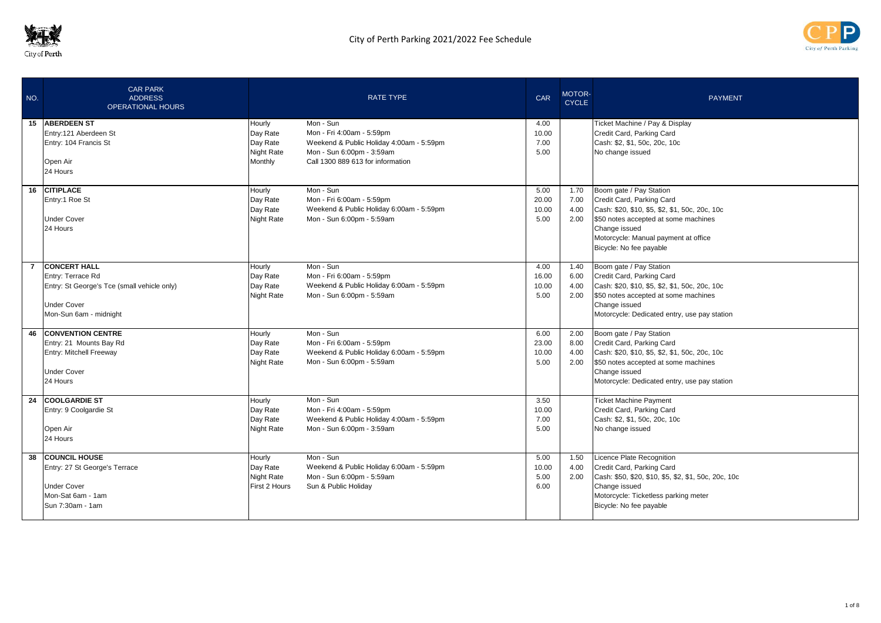



| NO.            | <b>CAR PARK</b><br><b>ADDRESS</b><br><b>OPERATIONAL HOURS</b>                                                                           |                                                         | <b>RATE TYPE</b>                                                                                                                                     | <b>CAR</b>                     | MOTOR-<br><b>CYCLE</b>       | <b>PAYMENT</b>                                                                                                                                                                                                                     |
|----------------|-----------------------------------------------------------------------------------------------------------------------------------------|---------------------------------------------------------|------------------------------------------------------------------------------------------------------------------------------------------------------|--------------------------------|------------------------------|------------------------------------------------------------------------------------------------------------------------------------------------------------------------------------------------------------------------------------|
|                | 15 ABERDEEN ST<br>Entry:121 Aberdeen St<br>Entry: 104 Francis St<br>Open Air<br>24 Hours                                                | Hourly<br>Day Rate<br>Day Rate<br>Night Rate<br>Monthly | Mon - Sun<br>Mon - Fri 4:00am - 5:59pm<br>Weekend & Public Holiday 4:00am - 5:59pm<br>Mon - Sun 6:00pm - 3:59am<br>Call 1300 889 613 for information | 4.00<br>10.00<br>7.00<br>5.00  |                              | Ticket Machine / Pay & Display<br>Credit Card, Parking Card<br>Cash: \$2, \$1, 50c, 20c, 10c<br>No change issued                                                                                                                   |
|                | 16 CITIPLACE<br>Entry:1 Roe St<br><b>Under Cover</b><br>24 Hours                                                                        | Hourly<br>Day Rate<br>Day Rate<br><b>Night Rate</b>     | Mon - Sun<br>Mon - Fri 6:00am - 5:59pm<br>Weekend & Public Holiday 6:00am - 5:59pm<br>Mon - Sun 6:00pm - 5:59am                                      | 5.00<br>20.00<br>10.00<br>5.00 | 1.70<br>7.00<br>4.00<br>2.00 | Boom gate / Pay Station<br>Credit Card, Parking Card<br>Cash: \$20, \$10, \$5, \$2, \$1, 50c, 20c, 10c<br>\$50 notes accepted at some machines<br>Change issued<br>Motorcycle: Manual payment at office<br>Bicycle: No fee payable |
| $\overline{7}$ | <b>CONCERT HALL</b><br>Entry: Terrace Rd<br>Entry: St George's Tce (small vehicle only)<br><b>Under Cover</b><br>Mon-Sun 6am - midnight | Hourly<br>Day Rate<br>Day Rate<br><b>Night Rate</b>     | Mon - Sun<br>Mon - Fri 6:00am - 5:59pm<br>Weekend & Public Holiday 6:00am - 5:59pm<br>Mon - Sun 6:00pm - 5:59am                                      | 4.00<br>16.00<br>10.00<br>5.00 | 1.40<br>6.00<br>4.00<br>2.00 | Boom gate / Pay Station<br>Credit Card, Parking Card<br>Cash: \$20, \$10, \$5, \$2, \$1, 50c, 20c, 10c<br>\$50 notes accepted at some machines<br>Change issued<br>Motorcycle: Dedicated entry, use pay station                    |
|                | <b>46 CONVENTION CENTRE</b><br>Entry: 21 Mounts Bay Rd<br><b>Entry: Mitchell Freeway</b><br><b>Under Cover</b><br>24 Hours              | Hourly<br>Day Rate<br>Day Rate<br>Night Rate            | Mon - Sun<br>Mon - Fri 6:00am - 5:59pm<br>Weekend & Public Holiday 6:00am - 5:59pm<br>Mon - Sun 6:00pm - 5:59am                                      | 6.00<br>23.00<br>10.00<br>5.00 | 2.00<br>8.00<br>4.00<br>2.00 | Boom gate / Pay Station<br>Credit Card, Parking Card<br>Cash: \$20, \$10, \$5, \$2, \$1, 50c, 20c, 10c<br>\$50 notes accepted at some machines<br>Change issued<br>Motorcycle: Dedicated entry, use pay station                    |
| 24             | <b>COOLGARDIE ST</b><br>Entry: 9 Coolgardie St<br>Open Air<br>24 Hours                                                                  | Hourly<br>Day Rate<br>Day Rate<br>Night Rate            | Mon - Sun<br>Mon - Fri 4:00am - 5:59pm<br>Weekend & Public Holiday 4:00am - 5:59pm<br>Mon - Sun 6:00pm - 3:59am                                      | 3.50<br>10.00<br>7.00<br>5.00  |                              | <b>Ticket Machine Payment</b><br>Credit Card, Parking Card<br>Cash: \$2, \$1, 50c, 20c, 10c<br>No change issued                                                                                                                    |
| 38             | <b>COUNCIL HOUSE</b><br>Entry: 27 St George's Terrace<br><b>Under Cover</b><br>Mon-Sat 6am - 1am<br>Sun 7:30am - 1am                    | Hourly<br>Day Rate<br>Night Rate<br>First 2 Hours       | Mon - Sun<br>Weekend & Public Holiday 6:00am - 5:59pm<br>Mon - Sun 6:00pm - 5:59am<br>Sun & Public Holiday                                           | 5.00<br>10.00<br>5.00<br>6.00  | 1.50<br>4.00<br>2.00         | Licence Plate Recognition<br>Credit Card, Parking Card<br>Cash: \$50, \$20, \$10, \$5, \$2, \$1, 50c, 20c, 10c<br>Change issued<br>Motorcycle: Ticketless parking meter<br>Bicycle: No fee payable                                 |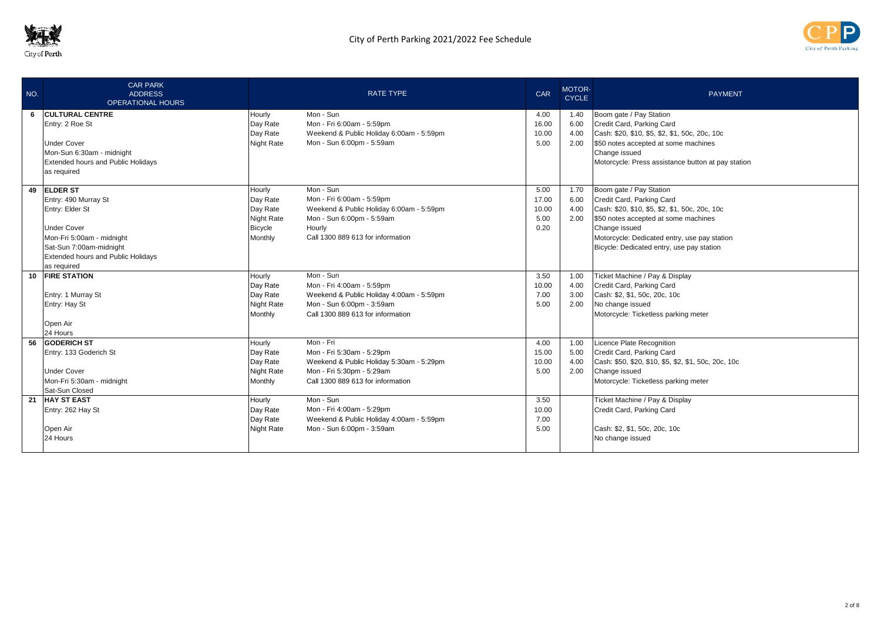



| NO. | <b>CAR PARK</b><br><b>ADDRESS</b><br><b>OPERATIONAL HOURS</b> |                      | <b>RATE TYPE</b>                                                      | <b>CAR</b>    | MOTOR-<br><b>CYCLE</b> | <b>PAYMENT</b>                                             |
|-----|---------------------------------------------------------------|----------------------|-----------------------------------------------------------------------|---------------|------------------------|------------------------------------------------------------|
| 6   | <b>CULTURAL CENTRE</b><br>Entry: 2 Roe St                     | Hourly<br>Day Rate   | Mon - Sun<br>Mon - Fri 6:00am - 5:59pm                                | 4.00<br>16.00 | 1.40<br>6.00           | Boom gate / Pay Station<br>Credit Card, Parking Card       |
|     |                                                               | Day Rate             | Weekend & Public Holiday 6:00am - 5:59pm                              | 10.00         | 4.00                   | Cash: \$20, \$10, \$5, \$2, \$1, 50c, 20c, 10c             |
|     | <b>Under Cover</b>                                            | Night Rate           | Mon - Sun 6:00pm - 5:59am                                             | 5.00          | 2.00                   | \$50 notes accepted at some machines                       |
|     | Mon-Sun 6:30am - midnight                                     |                      |                                                                       |               |                        | Change issued                                              |
|     | <b>Extended hours and Public Holidays</b><br>as required      |                      |                                                                       |               |                        | Motorcycle: Press assistance button at pay station         |
|     | 49 ELDER ST                                                   | Hourly               | Mon - Sun                                                             | 5.00          | 1.70                   |                                                            |
|     | Entry: 490 Murray St                                          | Day Rate             | Mon - Fri 6:00am - 5:59pm                                             | 17.00         | 6.00                   | Boom gate / Pay Station<br>Credit Card, Parking Card       |
|     | Entry: Elder St                                               | Day Rate             | Weekend & Public Holiday 6:00am - 5:59pm                              | 10.00         | 4.00                   | Cash: \$20, \$10, \$5, \$2, \$1, 50c, 20c, 10c             |
|     |                                                               | Night Rate           | Mon - Sun 6:00pm - 5:59am                                             | 5.00          | 2.00                   | \$50 notes accepted at some machines                       |
|     | <b>Under Cover</b>                                            | Bicycle              | Hourly                                                                | 0.20          |                        | Change issued                                              |
|     | Mon-Fri 5:00am - midnight                                     | Monthly              | Call 1300 889 613 for information                                     |               |                        | Motorcycle: Dedicated entry, use pay station               |
|     | Sat-Sun 7:00am-midnight                                       |                      |                                                                       |               |                        | Bicycle: Dedicated entry, use pay station                  |
|     | <b>Extended hours and Public Holidays</b>                     |                      |                                                                       |               |                        |                                                            |
|     | as required                                                   |                      |                                                                       |               |                        |                                                            |
|     | 10 FIRE STATION                                               | Hourly               | Mon - Sun                                                             | 3.50          | 1.00                   | Ticket Machine / Pay & Display                             |
|     | Entry: 1 Murray St                                            | Day Rate<br>Day Rate | Mon - Fri 4:00am - 5:59pm<br>Weekend & Public Holiday 4:00am - 5:59pm | 10.00<br>7.00 | 4.00<br>3.00           | Credit Card, Parking Card<br>Cash: \$2, \$1, 50c, 20c, 10c |
|     | Entry: Hay St                                                 | Night Rate           | Mon - Sun 6:00pm - 3:59am                                             | 5.00          | 2.00                   | No change issued                                           |
|     |                                                               | Monthly              | Call 1300 889 613 for information                                     |               |                        | Motorcycle: Ticketless parking meter                       |
|     | Open Air                                                      |                      |                                                                       |               |                        |                                                            |
|     | 24 Hours                                                      |                      |                                                                       |               |                        |                                                            |
|     | 56 GODERICH ST                                                | Hourly               | Mon - Fri                                                             | 4.00          | 1.00                   | Licence Plate Recognition                                  |
|     | Entry: 133 Goderich St                                        | Day Rate             | Mon - Fri 5:30am - 5:29pm                                             | 15.00         | 5.00                   | Credit Card, Parking Card                                  |
|     |                                                               | Day Rate             | Weekend & Public Holiday 5:30am - 5:29pm                              | 10.00         | 4.00                   | Cash: \$50, \$20, \$10, \$5, \$2, \$1, 50c, 20c, 10c       |
|     | <b>Under Cover</b>                                            | Night Rate           | Mon - Fri 5:30pm - 5:29am                                             | 5.00          | 2.00                   | Change issued                                              |
|     | Mon-Fri 5:30am - midnight<br>Sat-Sun Closed                   | Monthly              | Call 1300 889 613 for information                                     |               |                        | Motorcycle: Ticketless parking meter                       |
| 21  | <b>HAY ST EAST</b>                                            | Hourly               | Mon - Sun                                                             | 3.50          |                        | Ticket Machine / Pay & Display                             |
|     | Entry: 262 Hay St                                             | Day Rate             | Mon - Fri 4:00am - 5:29pm                                             | 10.00         |                        | Credit Card, Parking Card                                  |
|     |                                                               | Day Rate             | Weekend & Public Holiday 4:00am - 5:59pm                              | 7.00          |                        |                                                            |
|     | Open Air                                                      | Night Rate           | Mon - Sun 6:00pm - 3:59am                                             | 5.00          |                        | Cash: \$2, \$1, 50c, 20c, 10c                              |
|     | 24 Hours                                                      |                      |                                                                       |               |                        | No change issued                                           |
|     |                                                               |                      |                                                                       |               |                        |                                                            |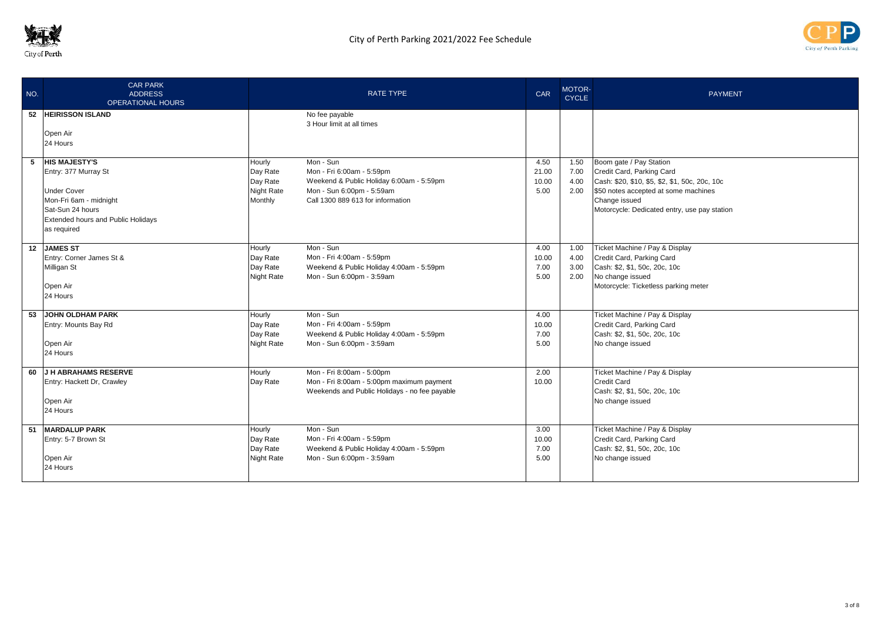



| NO. | <b>CAR PARK</b><br><b>ADDRESS</b><br><b>OPERATIONAL HOURS</b>                                                                                                                |                                                                | <b>RATE TYPE</b>                                                                                                                                     | CAR                            | <b>MOTOR-</b><br><b>CYCLE</b> | <b>PAYMENT</b>                                                                                                                                                                                                  |
|-----|------------------------------------------------------------------------------------------------------------------------------------------------------------------------------|----------------------------------------------------------------|------------------------------------------------------------------------------------------------------------------------------------------------------|--------------------------------|-------------------------------|-----------------------------------------------------------------------------------------------------------------------------------------------------------------------------------------------------------------|
| 52  | <b>HEIRISSON ISLAND</b><br>Open Air<br>24 Hours                                                                                                                              |                                                                | No fee payable<br>3 Hour limit at all times                                                                                                          |                                |                               |                                                                                                                                                                                                                 |
| 5   | <b>HIS MAJESTY'S</b><br>Entry: 377 Murray St<br><b>Under Cover</b><br>Mon-Fri 6am - midnight<br>Sat-Sun 24 hours<br><b>Extended hours and Public Holidays</b><br>as required | Hourly<br>Day Rate<br>Day Rate<br><b>Night Rate</b><br>Monthly | Mon - Sun<br>Mon - Fri 6:00am - 5:59pm<br>Weekend & Public Holiday 6:00am - 5:59pm<br>Mon - Sun 6:00pm - 5:59am<br>Call 1300 889 613 for information | 4.50<br>21.00<br>10.00<br>5.00 | 1.50<br>7.00<br>4.00<br>2.00  | Boom gate / Pay Station<br>Credit Card, Parking Card<br>Cash: \$20, \$10, \$5, \$2, \$1, 50c, 20c, 10c<br>\$50 notes accepted at some machines<br>Change issued<br>Motorcycle: Dedicated entry, use pay station |
|     | 12 JAMES ST<br>Entry: Corner James St &<br>Milligan St<br>Open Air<br>24 Hours                                                                                               | Hourly<br>Day Rate<br>Day Rate<br><b>Night Rate</b>            | Mon - Sun<br>Mon - Fri 4:00am - 5:59pm<br>Weekend & Public Holiday 4:00am - 5:59pm<br>Mon - Sun 6:00pm - 3:59am                                      | 4.00<br>10.00<br>7.00<br>5.00  | 1.00<br>4.00<br>3.00<br>2.00  | Ticket Machine / Pay & Display<br>Credit Card, Parking Card<br>Cash: \$2, \$1, 50c, 20c, 10c<br>No change issued<br>Motorcycle: Ticketless parking meter                                                        |
| 53  | <b>JOHN OLDHAM PARK</b><br>Entry: Mounts Bay Rd<br>Open Air<br>24 Hours                                                                                                      | Hourly<br>Day Rate<br>Day Rate<br><b>Night Rate</b>            | Mon - Sun<br>Mon - Fri 4:00am - 5:59pm<br>Weekend & Public Holiday 4:00am - 5:59pm<br>Mon - Sun 6:00pm - 3:59am                                      | 4.00<br>10.00<br>7.00<br>5.00  |                               | Ticket Machine / Pay & Display<br>Credit Card, Parking Card<br>Cash: \$2, \$1, 50c, 20c, 10c<br>No change issued                                                                                                |
| 60  | J H ABRAHAMS RESERVE<br>Entry: Hackett Dr, Crawley<br>Open Air<br>24 Hours                                                                                                   | Hourly<br>Day Rate                                             | Mon - Fri 8:00am - 5:00pm<br>Mon - Fri 8:00am - 5:00pm maximum payment<br>Weekends and Public Holidays - no fee payable                              | 2.00<br>10.00                  |                               | Ticket Machine / Pay & Display<br><b>Credit Card</b><br>Cash: \$2, \$1, 50c, 20c, 10c<br>No change issued                                                                                                       |
|     | 51 MARDALUP PARK<br>Entry: 5-7 Brown St<br>Open Air<br>24 Hours                                                                                                              | Hourly<br>Day Rate<br>Day Rate<br><b>Night Rate</b>            | Mon - Sun<br>Mon - Fri 4:00am - 5:59pm<br>Weekend & Public Holiday 4:00am - 5:59pm<br>Mon - Sun 6:00pm - 3:59am                                      | 3.00<br>10.00<br>7.00<br>5.00  |                               | Ticket Machine / Pay & Display<br>Credit Card, Parking Card<br>Cash: \$2, \$1, 50c, 20c, 10c<br>No change issued                                                                                                |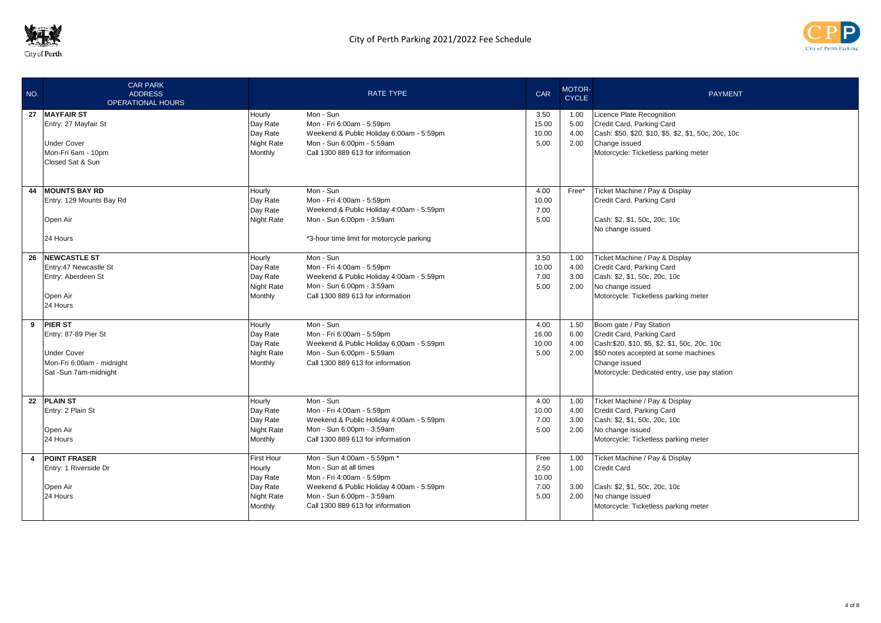



| NO. | <b>CAR PARK</b><br><b>ADDRESS</b><br><b>OPERATIONAL HOURS</b> |                    | <b>RATE TYPE</b>                          | <b>CAR</b> | MOTOR-<br><b>CYCLE</b> | <b>PAYMENT</b>                                       |
|-----|---------------------------------------------------------------|--------------------|-------------------------------------------|------------|------------------------|------------------------------------------------------|
|     | 27 MAYFAIR ST                                                 | Hourly             | Mon - Sun                                 | 3.50       | 1.00                   | Licence Plate Recognition                            |
|     | Entry: 27 Mayfair St                                          | Day Rate           | Mon - Fri 6:00am - 5:59pm                 | 15.00      | 5.00                   | Credit Card, Parking Card                            |
|     |                                                               | Day Rate           | Weekend & Public Holiday 6:00am - 5:59pm  | 10.00      | 4.00                   | Cash: \$50, \$20, \$10, \$5, \$2, \$1, 50c, 20c, 10c |
|     | <b>Under Cover</b>                                            | <b>Night Rate</b>  | Mon - Sun 6:00pm - 5:59am                 | 5.00       | 2.00                   | Change issued                                        |
|     | Mon-Fri 6am - 10pm                                            | Monthly            | Call 1300 889 613 for information         |            |                        | Motorcycle: Ticketless parking meter                 |
|     | Closed Sat & Sun                                              |                    |                                           |            |                        |                                                      |
|     |                                                               |                    |                                           |            |                        |                                                      |
| 44  | <b>MOUNTS BAY RD</b>                                          | Hourly             | Mon - Sun                                 | 4.00       | Free*                  | Ticket Machine / Pay & Display                       |
|     | Entry: 129 Mounts Bay Rd                                      | Day Rate           | Mon - Fri 4:00am - 5:59pm                 | 10.00      |                        | Credit Card, Parking Card                            |
|     |                                                               | Day Rate           | Weekend & Public Holiday 4:00am - 5:59pm  | 7.00       |                        |                                                      |
|     | Open Air                                                      | <b>Night Rate</b>  | Mon - Sun 6:00pm - 3:59am                 | 5.00       |                        | Cash: \$2, \$1, 50c, 20c, 10c                        |
|     |                                                               |                    |                                           |            |                        | No change issued                                     |
|     | 24 Hours                                                      |                    | *3-hour time limit for motorcycle parking |            |                        |                                                      |
| 26  | <b>NEWCASTLE ST</b>                                           | Hourly             | Mon - Sun                                 | 3.50       | 1.00                   | Ticket Machine / Pay & Display                       |
|     | Entry:47 Newcastle St                                         | Day Rate           | Mon - Fri 4:00am - 5:59pm                 | 10.00      | 4.00                   | Credit Card, Parking Card                            |
|     | Entry: Aberdeen St                                            | Day Rate           | Weekend & Public Holiday 4:00am - 5:59pm  | 7.00       | 3.00                   | Cash: \$2, \$1, 50c, 20c, 10c                        |
|     |                                                               | <b>Night Rate</b>  | Mon - Sun 6:00pm - 3:59am                 | 5.00       | 2.00                   | No change issued                                     |
|     | Open Air                                                      | Monthly            | Call 1300 889 613 for information         |            |                        | Motorcycle: Ticketless parking meter                 |
|     | 24 Hours                                                      |                    |                                           |            |                        |                                                      |
|     | 9 PIER ST                                                     | Hourly             | Mon - Sun                                 | 4.00       | 1.50                   | Boom gate / Pay Station                              |
|     | Entry: 87-89 Pier St                                          | Day Rate           | Mon - Fri 6:00am - 5:59pm                 | 16.00      | 6.00                   | Credit Card, Parking Card                            |
|     |                                                               | Day Rate           | Weekend & Public Holiday 6:00am - 5:59pm  | 10.00      | 4.00                   | Cash: \$20, \$10, \$5, \$2, \$1, 50c, 20c, 10c       |
|     | <b>Under Cover</b>                                            | Night Rate         | Mon - Sun 6:00pm - 5:59am                 | 5.00       | 2.00                   | \$50 notes accepted at some machines                 |
|     | Mon-Fri 6:00am - midnight                                     | Monthly            | Call 1300 889 613 for information         |            |                        | Change issued                                        |
|     | Sat -Sun 7am-midnight                                         |                    |                                           |            |                        | Motorcycle: Dedicated entry, use pay station         |
|     |                                                               |                    |                                           |            |                        |                                                      |
| 22  | <b>PLAIN ST</b>                                               |                    | Mon - Sun                                 | 4.00       | 1.00                   | Ticket Machine / Pay & Display                       |
|     | Entry: 2 Plain St                                             | Hourly<br>Day Rate | Mon - Fri 4:00am - 5:59pm                 | 10.00      | 4.00                   | Credit Card, Parking Card                            |
|     |                                                               | Day Rate           | Weekend & Public Holiday 4:00am - 5:59pm  | 7.00       | 3.00                   | Cash: \$2, \$1, 50c, 20c, 10c                        |
|     | Open Air                                                      | Night Rate         | Mon - Sun 6:00pm - 3:59am                 | 5.00       | 2.00                   | No change issued                                     |
|     | 24 Hours                                                      | Monthly            | Call 1300 889 613 for information         |            |                        | Motorcycle: Ticketless parking meter                 |
|     |                                                               |                    |                                           |            |                        |                                                      |
| 4   | <b>POINT FRASER</b>                                           | First Hour         | Mon - Sun 4:00am - 5:59pm *               | Free       | 1.00                   | Ticket Machine / Pay & Display                       |
|     | Entry: 1 Riverside Dr                                         | Hourly             | Mon - Sun at all times                    | 2.50       | 1.00                   | <b>Credit Card</b>                                   |
|     |                                                               | Day Rate           | Mon - Fri 4:00am - 5:59pm                 | 10.00      |                        |                                                      |
|     | Open Air                                                      | Day Rate           | Weekend & Public Holiday 4:00am - 5:59pm  | 7.00       | 3.00                   | Cash: \$2, \$1, 50c, 20c, 10c                        |
|     | 24 Hours                                                      | <b>Night Rate</b>  | Mon - Sun 6:00pm - 3:59am                 | 5.00       | 2.00                   | No change issued                                     |
|     |                                                               | Monthly            | Call 1300 889 613 for information         |            |                        | Motorcycle: Ticketless parking meter                 |
|     |                                                               |                    |                                           |            |                        |                                                      |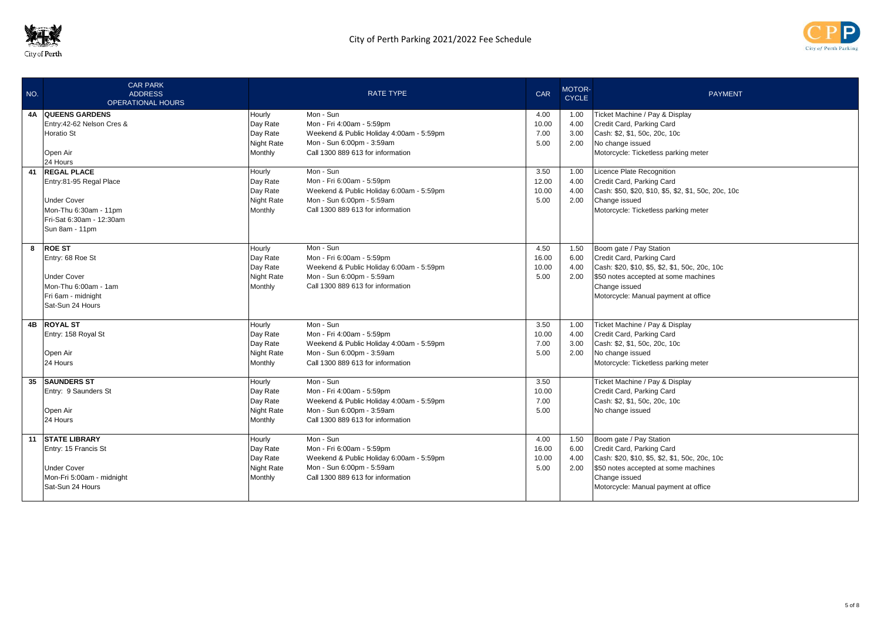



| NO. | <b>CAR PARK</b><br><b>ADDRESS</b><br><b>OPERATIONAL HOURS</b> |                       | <b>RATE TYPE</b>                                               | <b>CAR</b> | MOTOR-<br><b>CYCLE</b> | <b>PAYMENT</b>                                        |
|-----|---------------------------------------------------------------|-----------------------|----------------------------------------------------------------|------------|------------------------|-------------------------------------------------------|
|     | <b>4A QUEENS GARDENS</b>                                      | Hourly                | Mon - Sun                                                      | 4.00       | 1.00                   | Ticket Machine / Pay & Display                        |
|     | Entry: 42-62 Nelson Cres &                                    | Day Rate              | Mon - Fri 4:00am - 5:59pm                                      | 10.00      | 4.00                   | Credit Card, Parking Card                             |
|     | <b>Horatio St</b>                                             | Day Rate              | Weekend & Public Holiday 4:00am - 5:59pm                       | 7.00       | 3.00                   | Cash: \$2, \$1, 50c, 20c, 10c                         |
|     |                                                               | <b>Night Rate</b>     | Mon - Sun 6:00pm - 3:59am                                      | 5.00       | 2.00                   | No change issued                                      |
|     | Open Air                                                      | Monthly               | Call 1300 889 613 for information                              |            |                        | Motorcycle: Ticketless parking meter                  |
|     | 24 Hours                                                      |                       |                                                                |            |                        |                                                       |
|     | 41 REGAL PLACE                                                | Hourly                | Mon - Sun                                                      | 3.50       | 1.00                   | Licence Plate Recognition                             |
|     | Entry:81-95 Regal Place                                       | Day Rate              | Mon - Fri 6:00am - 5:59pm                                      | 12.00      | 4.00                   | Credit Card, Parking Card                             |
|     |                                                               | Day Rate              | Weekend & Public Holiday 6:00am - 5:59pm                       | 10.00      | 4.00                   | Cash: \$50, \$20, \$10, \$5, \$2, \$1, 50c, 20c, 10c  |
|     | <b>Under Cover</b><br>Mon-Thu 6:30am - 11pm                   | Night Rate<br>Monthly | Mon - Sun 6:00pm - 5:59am<br>Call 1300 889 613 for information | 5.00       | 2.00                   | Change issued<br>Motorcycle: Ticketless parking meter |
|     | Fri-Sat 6:30am - 12:30am                                      |                       |                                                                |            |                        |                                                       |
|     | Sun 8am - 11pm                                                |                       |                                                                |            |                        |                                                       |
|     |                                                               |                       |                                                                |            |                        |                                                       |
|     | 8 ROE ST                                                      | Hourly                | Mon - Sun                                                      | 4.50       | 1.50                   | Boom gate / Pay Station                               |
|     | Entry: 68 Roe St                                              | Day Rate              | Mon - Fri 6:00am - 5:59pm                                      | 16.00      | 6.00                   | Credit Card, Parking Card                             |
|     |                                                               | Day Rate              | Weekend & Public Holiday 6:00am - 5:59pm                       | 10.00      | 4.00                   | Cash: \$20, \$10, \$5, \$2, \$1, 50c, 20c, 10c        |
|     | <b>Under Cover</b>                                            | Night Rate            | Mon - Sun 6:00pm - 5:59am                                      | 5.00       | 2.00                   | \$50 notes accepted at some machines                  |
|     | Mon-Thu 6:00am - 1am                                          | Monthly               | Call 1300 889 613 for information                              |            |                        | Change issued                                         |
|     | Fri 6am - midnight                                            |                       |                                                                |            |                        | Motorcycle: Manual payment at office                  |
|     | Sat-Sun 24 Hours                                              |                       |                                                                |            |                        |                                                       |
|     | 4B ROYAL ST                                                   | Hourly                | Mon - Sun                                                      | 3.50       | 1.00                   | Ticket Machine / Pay & Display                        |
|     | Entry: 158 Royal St                                           | Day Rate              | Mon - Fri 4:00am - 5:59pm                                      | 10.00      | 4.00                   | Credit Card, Parking Card                             |
|     |                                                               | Day Rate              | Weekend & Public Holiday 4:00am - 5:59pm                       | 7.00       | 3.00                   | Cash: \$2, \$1, 50c, 20c, 10c                         |
|     | Open Air                                                      | <b>Night Rate</b>     | Mon - Sun 6:00pm - 3:59am                                      | 5.00       | 2.00                   | No change issued                                      |
|     | 24 Hours                                                      | Monthly               | Call 1300 889 613 for information                              |            |                        | Motorcycle: Ticketless parking meter                  |
|     | 35 SAUNDERS ST                                                | Hourly                | Mon - Sun                                                      | 3.50       |                        | Ticket Machine / Pay & Display                        |
|     | Entry: 9 Saunders St                                          | Day Rate              | Mon - Fri 4:00am - 5:59pm                                      | 10.00      |                        | Credit Card, Parking Card                             |
|     |                                                               | Day Rate              | Weekend & Public Holiday 4:00am - 5:59pm                       | 7.00       |                        | Cash: \$2, \$1, 50c, 20c, 10c                         |
|     | Open Air                                                      | <b>Night Rate</b>     | Mon - Sun 6:00pm - 3:59am                                      | 5.00       |                        | No change issued                                      |
|     | 24 Hours                                                      | Monthly               | Call 1300 889 613 for information                              |            |                        |                                                       |
|     | 11 STATE LIBRARY                                              | Hourly                | Mon - Sun                                                      | 4.00       | 1.50                   | Boom gate / Pay Station                               |
|     | Entry: 15 Francis St                                          | Day Rate              | Mon - Fri 6:00am - 5:59pm                                      | 16.00      | 6.00                   | Credit Card, Parking Card                             |
|     |                                                               | Day Rate              | Weekend & Public Holiday 6:00am - 5:59pm                       | 10.00      | 4.00                   | Cash: \$20, \$10, \$5, \$2, \$1, 50c, 20c, 10c        |
|     | <b>Under Cover</b>                                            | <b>Night Rate</b>     | Mon - Sun 6:00pm - 5:59am                                      | 5.00       | 2.00                   | \$50 notes accepted at some machines                  |
|     | Mon-Fri 5:00am - midnight                                     | Monthly               | Call 1300 889 613 for information                              |            |                        | Change issued                                         |
|     | Sat-Sun 24 Hours                                              |                       |                                                                |            |                        | Motorcycle: Manual payment at office                  |
|     |                                                               |                       |                                                                |            |                        |                                                       |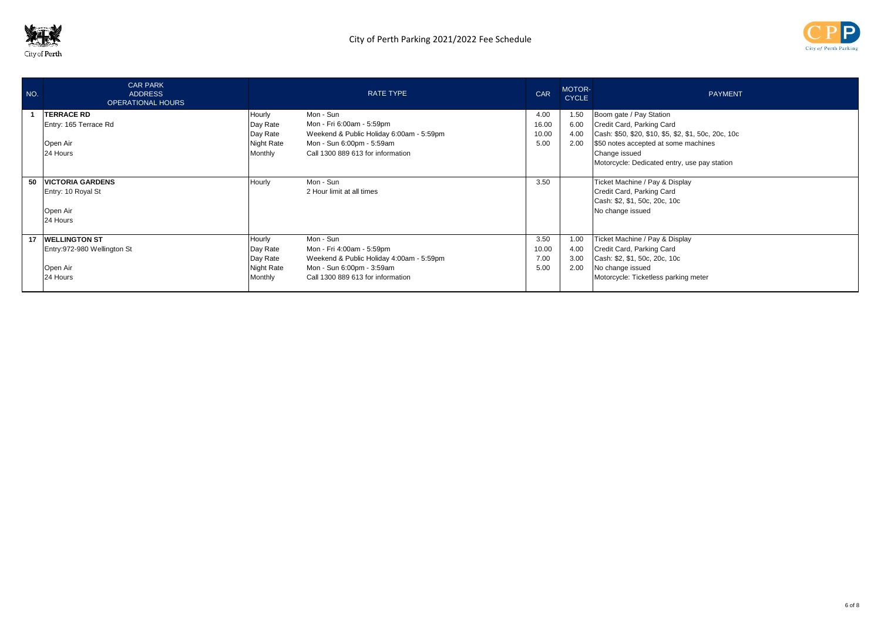



| NO. | <b>CAR PARK</b><br><b>ADDRESS</b><br><b>OPERATIONAL HOURS</b> |                   | <b>RATE TYPE</b>                         | <b>CAR</b> | MOTOR-<br><b>CYCLE</b> | <b>PAYMENT</b>                                       |
|-----|---------------------------------------------------------------|-------------------|------------------------------------------|------------|------------------------|------------------------------------------------------|
|     | <b>TERRACE RD</b>                                             | Hourly            | Mon - Sun                                | 4.00       | 1.50                   | Boom gate / Pay Station                              |
|     | Entry: 165 Terrace Rd                                         | Day Rate          | Mon - Fri 6:00am - 5:59pm                | 16.00      | 6.00                   | Credit Card, Parking Card                            |
|     |                                                               | Day Rate          | Weekend & Public Holiday 6:00am - 5:59pm | 10.00      | 4.00                   | Cash: \$50, \$20, \$10, \$5, \$2, \$1, 50c, 20c, 10c |
|     | Open Air                                                      | <b>Night Rate</b> | Mon - Sun 6:00pm - 5:59am                | 5.00       | 2.00                   | \$50 notes accepted at some machines                 |
|     | 24 Hours                                                      | Monthly           | Call 1300 889 613 for information        |            |                        | Change issued                                        |
|     |                                                               |                   |                                          |            |                        | Motorcycle: Dedicated entry, use pay station         |
| 50  | <b>VICTORIA GARDENS</b>                                       | Hourly            | Mon - Sun                                | 3.50       |                        | Ticket Machine / Pay & Display                       |
|     | Entry: 10 Royal St                                            |                   | 2 Hour limit at all times                |            |                        | Credit Card, Parking Card                            |
|     |                                                               |                   |                                          |            |                        | Cash: \$2, \$1, 50c, 20c, 10c                        |
|     | Open Air                                                      |                   |                                          |            |                        | No change issued                                     |
|     | 24 Hours                                                      |                   |                                          |            |                        |                                                      |
|     |                                                               |                   |                                          |            |                        |                                                      |
| 17  | <b>WELLINGTON ST</b>                                          | Hourly            | Mon - Sun                                | 3.50       | 1.00                   | Ticket Machine / Pay & Display                       |
|     | Entry: 972-980 Wellington St                                  | Day Rate          | Mon - Fri 4:00am - 5:59pm                | 10.00      | 4.00                   | Credit Card, Parking Card                            |
|     |                                                               | Day Rate          | Weekend & Public Holiday 4:00am - 5:59pm | 7.00       | 3.00                   | Cash: \$2, \$1, 50c, 20c, 10c                        |
|     | Open Air                                                      | <b>Night Rate</b> | Mon - Sun 6:00pm - 3:59am                | 5.00       | 2.00                   | No change issued                                     |
|     | 24 Hours                                                      | Monthly           | Call 1300 889 613 for information        |            |                        | Motorcycle: Ticketless parking meter                 |
|     |                                                               |                   |                                          |            |                        |                                                      |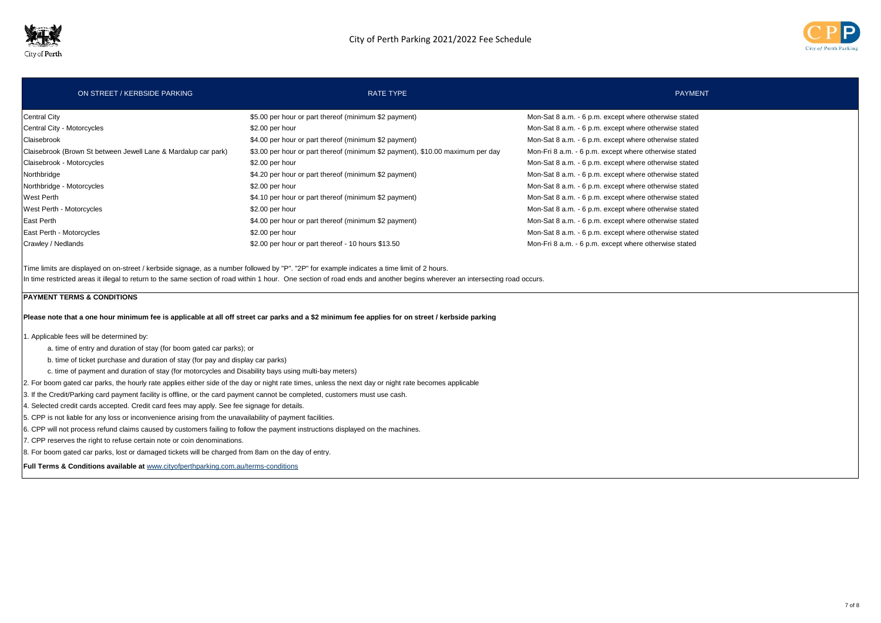



| ON STREET / KERBSIDE PARKING                                                                                                                | <b>RATE TYPE</b>                                                               | <b>PAYMENT</b>                                        |
|---------------------------------------------------------------------------------------------------------------------------------------------|--------------------------------------------------------------------------------|-------------------------------------------------------|
| <b>Central City</b>                                                                                                                         | \$5.00 per hour or part thereof (minimum \$2 payment)                          | Mon-Sat 8 a.m. - 6 p.m. except where otherwise stated |
| Central City - Motorcycles                                                                                                                  | \$2.00 per hour                                                                | Mon-Sat 8 a.m. - 6 p.m. except where otherwise stated |
| Claisebrook                                                                                                                                 | \$4.00 per hour or part thereof (minimum \$2 payment)                          | Mon-Sat 8 a.m. - 6 p.m. except where otherwise stated |
| Claisebrook (Brown St between Jewell Lane & Mardalup car park)                                                                              | \$3.00 per hour or part thereof (minimum \$2 payment), \$10.00 maximum per day | Mon-Fri 8 a.m. - 6 p.m. except where otherwise stated |
| Claisebrook - Motorcycles                                                                                                                   | \$2.00 per hour                                                                | Mon-Sat 8 a.m. - 6 p.m. except where otherwise stated |
| Northbridge                                                                                                                                 | \$4.20 per hour or part thereof (minimum \$2 payment)                          | Mon-Sat 8 a.m. - 6 p.m. except where otherwise stated |
| Northbridge - Motorcycles                                                                                                                   | \$2.00 per hour                                                                | Mon-Sat 8 a.m. - 6 p.m. except where otherwise stated |
| West Perth                                                                                                                                  | \$4.10 per hour or part thereof (minimum \$2 payment)                          | Mon-Sat 8 a.m. - 6 p.m. except where otherwise stated |
| West Perth - Motorcycles                                                                                                                    | \$2.00 per hour                                                                | Mon-Sat 8 a.m. - 6 p.m. except where otherwise stated |
| East Perth                                                                                                                                  | \$4.00 per hour or part thereof (minimum \$2 payment)                          | Mon-Sat 8 a.m. - 6 p.m. except where otherwise stated |
| East Perth - Motorcycles                                                                                                                    | \$2.00 per hour                                                                | Mon-Sat 8 a.m. - 6 p.m. except where otherwise stated |
| Crawley / Nedlands                                                                                                                          | \$2.00 per hour or part thereof - 10 hours \$13.50                             | Mon-Fri 8 a.m. - 6 p.m. except where otherwise stated |
| Time limits are displayed on on-street / kerbside signage, as a number followed by "P". "2P" for example indicates a time limit of 2 hours. |                                                                                |                                                       |

In time restricted areas it illegal to return to the same section of road within 1 hour. One section of road ends and another begins wherever an intersecting road occurs.

## **PAYMENT TERMS & CONDITIONS**

**Please note that a one hour minimum fee is applicable at all off street car parks and a \$2 minimum fee applies for on street / kerbside parking**

1. Applicable fees will be determined by:

- a. time of entry and duration of stay (for boom gated car parks); or
- b. time of ticket purchase and duration of stay (for pay and display car parks)
- c. time of payment and duration of stay (for motorcycles and Disability bays using multi-bay meters)

2. For boom gated car parks, the hourly rate applies either side of the day or night rate times, unless the next day or night rate becomes applicable

- 3. If the Credit/Parking card payment facility is offline, or the card payment cannot be completed, customers must use cash.
- 4. Selected credit cards accepted. Credit card fees may apply. See fee signage for details.
- 5. CPP is not liable for any loss or inconvenience arising from the unavailability of payment facilities.
- 6. CPP will not process refund claims caused by customers failing to follow the payment instructions displayed on the machines.
- 7. CPP reserves the right to refuse certain note or coin denominations.
- 8. For boom gated car parks, lost or damaged tickets will be charged from 8am on the day of entry.

**Full Terms & Conditions available at** www.cityofperthparking.com.au/terms-conditions